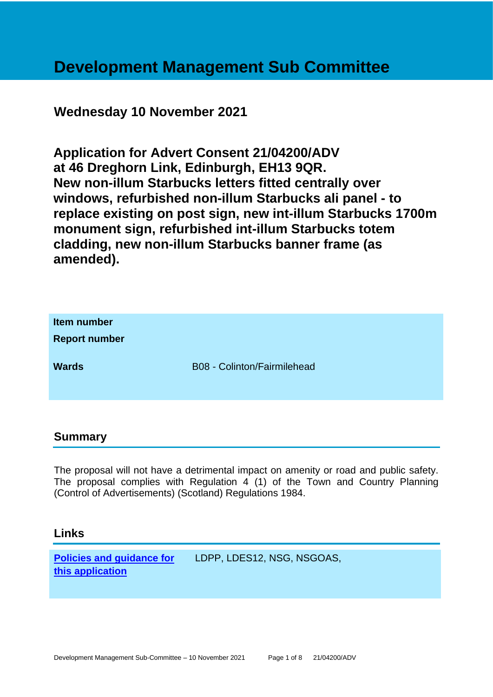# **Development Management Sub Committee**

# **Wednesday 10 November 2021**

**Application for Advert Consent 21/04200/ADV at 46 Dreghorn Link, Edinburgh, EH13 9QR. New non-illum Starbucks letters fitted centrally over windows, refurbished non-illum Starbucks ali panel - to replace existing on post sign, new int-illum Starbucks 1700m monument sign, refurbished int-illum Starbucks totem cladding, new non-illum Starbucks banner frame (as amended).**

| Item number<br><b>Report number</b> |                             |
|-------------------------------------|-----------------------------|
| <b>Wards</b>                        | B08 - Colinton/Fairmilehead |

#### **Summary**

The proposal will not have a detrimental impact on amenity or road and public safety. The proposal complies with Regulation 4 (1) of the Town and Country Planning (Control of Advertisements) (Scotland) Regulations 1984.

## **Links**

**[Policies and guidance for](file:///C:/uniform/temp/uf04148.rtf%23Policies)  [this application](file:///C:/uniform/temp/uf04148.rtf%23Policies)**

LDPP, LDES12, NSG, NSGOAS,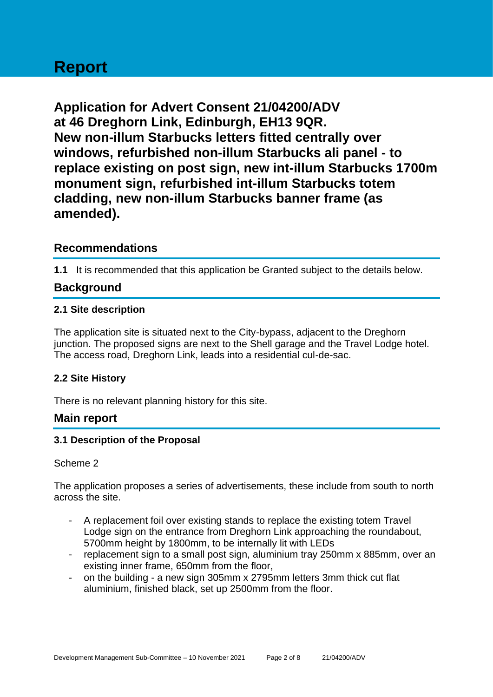# **Report**

**Application for Advert Consent 21/04200/ADV at 46 Dreghorn Link, Edinburgh, EH13 9QR. New non-illum Starbucks letters fitted centrally over windows, refurbished non-illum Starbucks ali panel - to replace existing on post sign, new int-illum Starbucks 1700m monument sign, refurbished int-illum Starbucks totem cladding, new non-illum Starbucks banner frame (as amended).**

# **Recommendations**

**1.1** It is recommended that this application be Granted subject to the details below.

# **Background**

#### **2.1 Site description**

The application site is situated next to the City-bypass, adjacent to the Dreghorn junction. The proposed signs are next to the Shell garage and the Travel Lodge hotel. The access road, Dreghorn Link, leads into a residential cul-de-sac.

#### **2.2 Site History**

There is no relevant planning history for this site.

## **Main report**

#### **3.1 Description of the Proposal**

#### Scheme 2

The application proposes a series of advertisements, these include from south to north across the site.

- A replacement foil over existing stands to replace the existing totem Travel Lodge sign on the entrance from Dreghorn Link approaching the roundabout, 5700mm height by 1800mm, to be internally lit with LEDs
- replacement sign to a small post sign, aluminium tray 250mm x 885mm, over an existing inner frame, 650mm from the floor,
- on the building a new sign 305mm x 2795mm letters 3mm thick cut flat aluminium, finished black, set up 2500mm from the floor.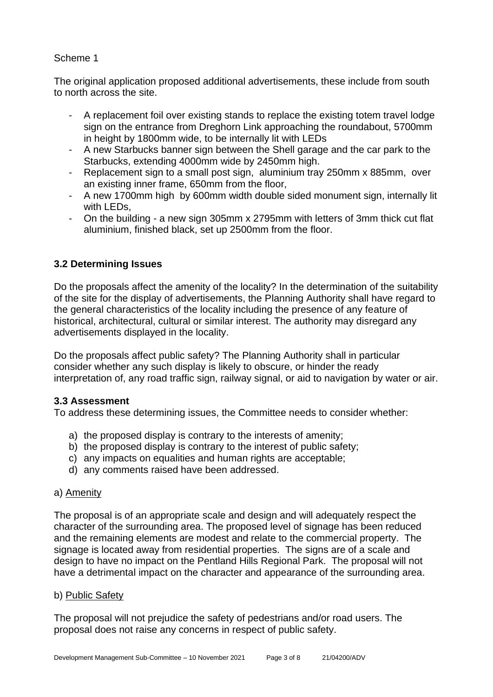#### Scheme 1

The original application proposed additional advertisements, these include from south to north across the site.

- A replacement foil over existing stands to replace the existing totem travel lodge sign on the entrance from Dreghorn Link approaching the roundabout, 5700mm in height by 1800mm wide, to be internally lit with LEDs
- A new Starbucks banner sign between the Shell garage and the car park to the Starbucks, extending 4000mm wide by 2450mm high.
- Replacement sign to a small post sign, aluminium tray 250mm x 885mm, over an existing inner frame, 650mm from the floor,
- A new 1700mm high by 600mm width double sided monument sign, internally lit with LEDs.
- On the building a new sign 305mm x 2795mm with letters of 3mm thick cut flat aluminium, finished black, set up 2500mm from the floor.

## **3.2 Determining Issues**

Do the proposals affect the amenity of the locality? In the determination of the suitability of the site for the display of advertisements, the Planning Authority shall have regard to the general characteristics of the locality including the presence of any feature of historical, architectural, cultural or similar interest. The authority may disregard any advertisements displayed in the locality.

Do the proposals affect public safety? The Planning Authority shall in particular consider whether any such display is likely to obscure, or hinder the ready interpretation of, any road traffic sign, railway signal, or aid to navigation by water or air.

#### **3.3 Assessment**

To address these determining issues, the Committee needs to consider whether:

- a) the proposed display is contrary to the interests of amenity;
- b) the proposed display is contrary to the interest of public safety;
- c) any impacts on equalities and human rights are acceptable;
- d) any comments raised have been addressed.

#### a) Amenity

The proposal is of an appropriate scale and design and will adequately respect the character of the surrounding area. The proposed level of signage has been reduced and the remaining elements are modest and relate to the commercial property. The signage is located away from residential properties. The signs are of a scale and design to have no impact on the Pentland Hills Regional Park. The proposal will not have a detrimental impact on the character and appearance of the surrounding area.

#### b) Public Safety

The proposal will not prejudice the safety of pedestrians and/or road users. The proposal does not raise any concerns in respect of public safety.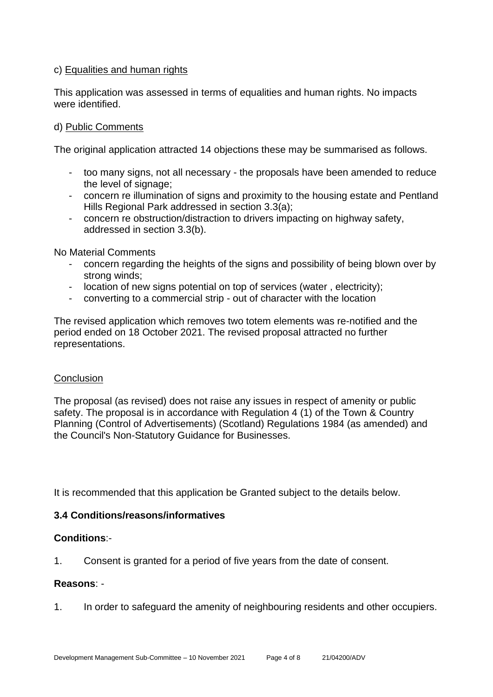#### c) Equalities and human rights

This application was assessed in terms of equalities and human rights. No impacts were identified.

#### d) Public Comments

The original application attracted 14 objections these may be summarised as follows.

- too many signs, not all necessary the proposals have been amended to reduce the level of signage;
- concern re illumination of signs and proximity to the housing estate and Pentland Hills Regional Park addressed in section 3.3(a);
- concern re obstruction/distraction to drivers impacting on highway safety, addressed in section 3.3(b).

No Material Comments

- concern regarding the heights of the signs and possibility of being blown over by strong winds;
- location of new signs potential on top of services (water , electricity);
- converting to a commercial strip out of character with the location

The revised application which removes two totem elements was re-notified and the period ended on 18 October 2021. The revised proposal attracted no further representations.

#### **Conclusion**

The proposal (as revised) does not raise any issues in respect of amenity or public safety. The proposal is in accordance with Regulation 4 (1) of the Town & Country Planning (Control of Advertisements) (Scotland) Regulations 1984 (as amended) and the Council's Non-Statutory Guidance for Businesses.

It is recommended that this application be Granted subject to the details below.

#### **3.4 Conditions/reasons/informatives**

#### **Conditions**:-

1. Consent is granted for a period of five years from the date of consent.

#### **Reasons**: -

1. In order to safeguard the amenity of neighbouring residents and other occupiers.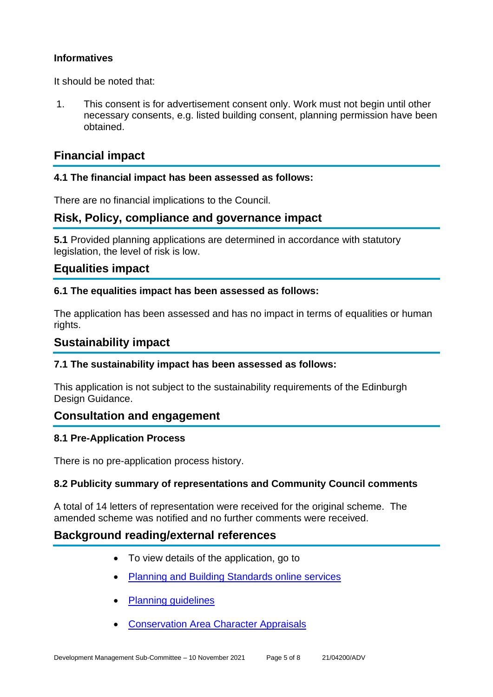#### **Informatives**

It should be noted that:

1. This consent is for advertisement consent only. Work must not begin until other necessary consents, e.g. listed building consent, planning permission have been obtained.

# **Financial impact**

#### **4.1 The financial impact has been assessed as follows:**

There are no financial implications to the Council.

## **Risk, Policy, compliance and governance impact**

**5.1** Provided planning applications are determined in accordance with statutory legislation, the level of risk is low.

# **Equalities impact**

#### **6.1 The equalities impact has been assessed as follows:**

The application has been assessed and has no impact in terms of equalities or human rights.

#### **Sustainability impact**

#### **7.1 The sustainability impact has been assessed as follows:**

This application is not subject to the sustainability requirements of the Edinburgh Design Guidance.

## **Consultation and engagement**

#### **8.1 Pre-Application Process**

There is no pre-application process history.

#### **8.2 Publicity summary of representations and Community Council comments**

A total of 14 letters of representation were received for the original scheme. The amended scheme was notified and no further comments were received.

## **Background reading/external references**

- To view details of the application, go to
- [Planning and Building Standards online services](https://citydev-portal.edinburgh.gov.uk/idoxpa-web/search.do?action=simple&searchType=Application)
- [Planning guidelines](http://www.edinburgh.gov.uk/planningguidelines)
- [Conservation Area Character Appraisals](http://www.edinburgh.gov.uk/characterappraisals)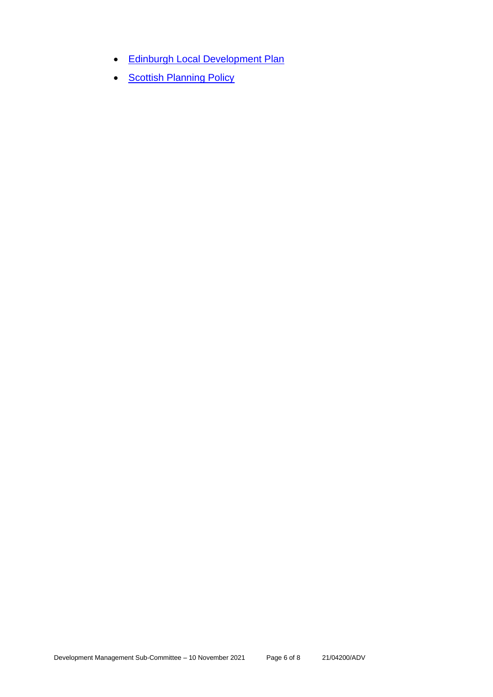- [Edinburgh Local Development Plan](http://www.edinburgh.gov.uk/localdevelopmentplan)
- **[Scottish Planning Policy](http://www.scotland.gov.uk/Topics/Built-Environment/planning/Policy)**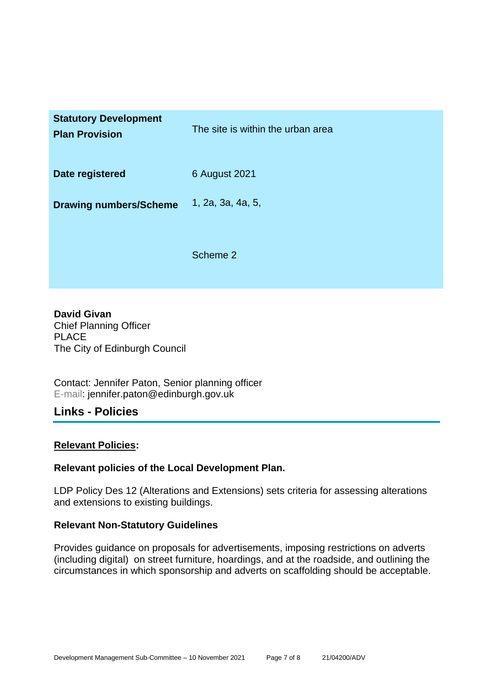| <b>Statutory Development</b><br><b>Plan Provision</b> | The site is within the urban area |
|-------------------------------------------------------|-----------------------------------|
| Date registered                                       | 6 August 2021                     |
| <b>Drawing numbers/Scheme</b>                         | 1, 2a, 3a, 4a, 5,                 |
|                                                       | Scheme 2                          |

**David Givan** Chief Planning Officer PLACE The City of Edinburgh Council

Contact: Jennifer Paton, Senior planning officer E-mail: jennifer.paton@edinburgh.gov.uk

# **Links - Policies**

#### **Relevant Policies:**

#### **Relevant policies of the Local Development Plan.**

LDP Policy Des 12 (Alterations and Extensions) sets criteria for assessing alterations and extensions to existing buildings.

#### **Relevant Non-Statutory Guidelines**

Provides guidance on proposals for advertisements, imposing restrictions on adverts (including digital) on street furniture, hoardings, and at the roadside, and outlining the circumstances in which sponsorship and adverts on scaffolding should be acceptable.